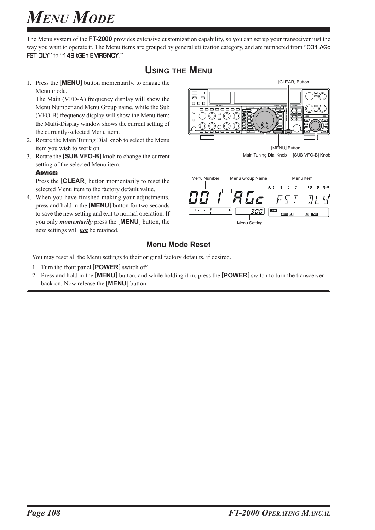The Menu system of the **FT-2000** provides extensive customization capability, so you can set up your transceiver just the way you want to operate it. The Menu items are grouped by general utilization category, and are numbered from "**OD1 AGc** FST DLY" to "149 tGEn EMRGNCY."

### **USING THE MENU**

1. Press the [**MENU**] button momentarily, to engage the Menu mode.

The Main (VFO-A) frequency display will show the Menu Number and Menu Group name, while the Sub (VFO-B) frequency display will show the Menu item; the Multi-Display window shows the current setting of the currently-selected Menu item.

- 2. Rotate the Main Tuning Dial knob to select the Menu item you wish to work on.
- 3. Rotate the [**SUB VFO-B**] knob to change the current setting of the selected Menu item.

#### ADVICE:

Press the [**CLEAR**] button momentarily to reset the selected Menu item to the factory default value.

4. When you have finished making your adjustments, press and hold in the [**MENU**] button for two seconds to save the new setting and exit to normal operation. If you only *momentarily* press the [**MENU**] button, the new settings will *not* be retained.



### **Menu Mode Reset -**

You may reset all the Menu settings to their original factory defaults, if desired.

- 1. Turn the front panel [**POWER**] switch off.
- 2. Press and hold in the [**MENU**] button, and while holding it in, press the [**POWER**] switch to turn the transceiver back on. Now release the [**MENU**] button.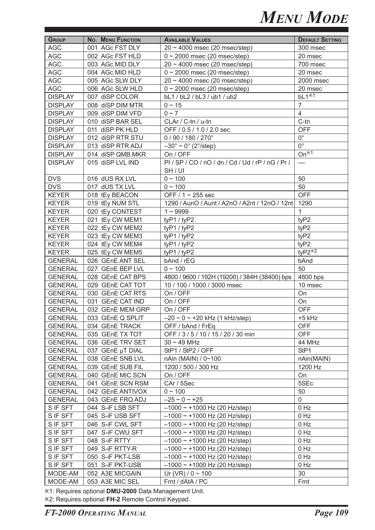| <b>GROUP</b>                     | <b>No. MENU FUNCTION</b>             | <b>AVAILABLE VALUES</b>                             | <b>DEFAULT SETTING</b>  |
|----------------------------------|--------------------------------------|-----------------------------------------------------|-------------------------|
| <b>AGC</b>                       | 001 AGc FST DLY                      | $20 \sim 4000$ msec (20 msec/step)                  | 300 msec                |
| <b>AGC</b>                       | 002 AGc FST HLD                      | $0 \sim 2000$ msec (20 msec/step)                   | 20 msec                 |
| <b>AGC</b>                       | 003 AGc MID DLY                      | $20 \sim 4000$ msec (20 msec/step)                  | 700 msec                |
| <b>AGC</b>                       | 004 AGc MID HLD                      | $0 \sim 2000$ msec (20 msec/step)                   | 20 msec                 |
| <b>AGC</b>                       | 005 AGc SLW DLY                      | $20 \sim 4000$ msec (20 msec/step)                  | 2000 msec               |
| <b>AGC</b>                       | 006 AGc SLW HLD                      | $0 \sim 2000$ msec (20 msec/step)                   | 20 msec                 |
| <b>DISPLAY</b>                   | 007 diSP COLOR                       | bL1 / bL2 / bL3 / ub1 / ub2                         | $bL1^{*1}$              |
| <b>DISPLAY</b>                   | 008 diSP DIM MTR                     | $0 \sim 15$                                         | $\overline{7}$          |
| <b>DISPLAY</b>                   | 009 diSP DIM VFD                     | $0 \sim 7$                                          | $\overline{4}$          |
| <b>DISPLAY</b>                   | 010 diSP BAR SEL                     | CLAr / C-tn / u-tn                                  | $C$ -tn                 |
| <b>DISPLAY</b>                   | 011 diSP PK HLD                      | OFF / 0.5 / 1.0 / 2.0 sec                           | <b>OFF</b>              |
| <b>DISPLAY</b>                   | 012 diSP RTR STU                     | 0 / 90 / 180 / 270°                                 | $0^{\circ}$             |
| <b>DISPLAY</b>                   | 013 diSP RTR ADJ                     | $-30^\circ \sim 0^\circ$ (2°/step)                  | $\overline{0^{\circ}}$  |
| <b>DISPLAY</b>                   | 014 diSP QMB MKR                     | On / OFF                                            | $On*1$                  |
| <b>DISPLAY</b>                   | 015 diSP LVL IND                     | $PI / SP / CO / nO / dn / Cd / Ud / rP / nG / Pr /$ |                         |
|                                  |                                      | SH/UI                                               |                         |
| <b>DVS</b>                       | 016 dUS RX LVL                       | $0 - 100$                                           | 50                      |
| <b>DVS</b>                       | 017 dUS TX LVL                       | $0 \sim 100$                                        | 50                      |
| <b>KEYER</b>                     | 018 tEy BEACON                       | OFF / $1 \sim 255$ sec                              | <b>OFF</b>              |
| <b>KEYER</b>                     | 019 tEy NUM STL                      | 1290 / AunO / Aunt / A2nO / A2nt / 12nO / 12nt      | 1290                    |
| <b>KEYER</b>                     | 020 tEy CONTEST                      | $1 - 9999$                                          | 1                       |
| <b>KEYER</b>                     | 021 tEy CW MEM1                      | tyP1 / tyP2                                         | tyP2                    |
| <b>KEYER</b>                     | 022 tEy CW MEM2                      | tyP1 / tyP2                                         | tyP2                    |
| <b>KEYER</b>                     | 023 tEy CW MEM3                      |                                                     | tyP2                    |
|                                  |                                      | tyP1 / tyP2                                         |                         |
| <b>KEYER</b><br><b>KEYER</b>     | 024 tEy CW MEM4                      | tyP1 / tyP2                                         | tyP2<br>$\text{tpP2*2}$ |
| <b>GENERAL</b>                   | 025 tEy CW MEM5<br>026 GEnE ANT SEL  | tyP1 / tyP2                                         | bAnd                    |
|                                  |                                      | bAnd / rEG<br>$0 - 100$                             | 50                      |
| <b>GENERAL</b><br><b>GENERAL</b> | 027 GEnE BEP LVL<br>028 GEnE CAT BPS |                                                     |                         |
|                                  |                                      | 4800 / 9600 / 192H (19200) / 384H (38400) bps       | 4800 bps<br>10 msec     |
| <b>GENERAL</b>                   | 029 GEnE CAT TOT                     | 10 / 100 / 1000 / 3000 msec                         |                         |
| <b>GENERAL</b>                   | 030 GEnE CAT RTS                     | On / OFF                                            | On                      |
| <b>GENERAL</b>                   | 031 GEnE CAT IND                     | On / OFF                                            | On                      |
| <b>GENERAL</b>                   | 032 GEnE MEM GRP                     | On / OFF                                            | <b>OFF</b>              |
| <b>GENERAL</b>                   | 033 GEnE Q SPLIT                     | $-20 \sim 0 \sim +20$ kHz (1 kHz/step)              | +5 kHz                  |
| <b>GENERAL</b>                   | 034 GEnE TRACK                       | OFF / bAnd / FrEq                                   | <b>OFF</b>              |
| <b>GENERAL</b>                   | 035 GEnE TX TOT                      | OFF / 3 / 5 / 10 / 15 / 20 / 30 min                 | <b>OFF</b>              |
| <b>GENERAL</b>                   | 036 GEnE TRV SET                     | $30 \sim 49$ MHz                                    | 44 MHz                  |
| <b>GENERAL</b>                   | 037 GEnE µT DIAL                     | StP1 / StP2 / OFF                                   | StP1                    |
| <b>GENERAL</b>                   | 038 GEnE SNB LVL                     | nAin (MAIN) / 0~100                                 | nAin(MAIN)              |
| <b>GENERAL</b>                   | 039 GEnE SUB FIL                     | 1200 / 500 / 300 Hz                                 | 1200 Hz                 |
| <b>GENERAL</b>                   | 040 GEnE MIC SCN                     | On / OFF                                            | On                      |
| <b>GENERAL</b>                   | 041 GEnE SCN RSM                     | CAr / 5Sec                                          | 5SEc                    |
| <b>GENERAL</b>                   | 042 GEnE ANTIVOX                     | $0 \sim 100$                                        | 50                      |
| <b>GENERAL</b>                   | 043 GEnE FRQ ADJ                     | $-25 \sim 0 \sim +25$                               | $\mathbf 0$             |
| S IF SFT                         | 044 S-iF LSB SFT                     | $-1000 \sim +1000$ Hz (20 Hz/step)                  | 0 Hz                    |
| S IF SFT                         | 045 S-iF USB SFT                     | $-1000 \sim +1000$ Hz (20 Hz/step)                  | 0 Hz                    |
| S IF SFT                         | 046 S-iF CWL SFT                     | $-1000 \sim +1000$ Hz (20 Hz/step)                  | 0 Hz                    |
| S IF SFT                         | 047 S-iF CWU SFT                     | $-1000 \sim +1000$ Hz (20 Hz/step)                  | $0$ Hz                  |
| S IF SFT                         | 048 S-iF RTTY                        | $-1000 \sim +1000$ Hz (20 Hz/step)                  | 0 Hz                    |
| S IF SFT                         | 049 S-iF RTTY-R                      | $-1000 \sim +1000$ Hz (20 Hz/step)                  | 0 Hz                    |
| S IF SFT                         | 050 S-iF PKT-LSB                     | $-1000 \sim +1000$ Hz (20 Hz/step)                  | 0 Hz                    |
| S IF SFT                         | 051 S-iF PKT-USB                     | $-1000 \sim +1000$ Hz (20 Hz/step)                  | 0 Hz                    |
| MODE-AM                          | 052 A3E MICGAIN                      | Ur (VR) / $0 \sim 100$                              | 30                      |
| MODE-AM                          | 053 A3E MIC SEL                      | Frnt / dAtA / PC                                    | Frnt                    |

Ú1: Requires optional **DMU-2000** Data Management Unit.

Ú2: Requires optional **FH-2** Remote Control Keypad.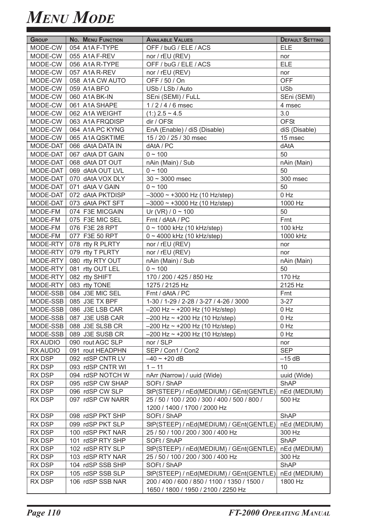| <b>GROUP</b> | <b>No. MENU FUNCTION</b> | <b>AVAILABLE VALUES</b>                       | <b>DEFAULT SETTING</b> |
|--------------|--------------------------|-----------------------------------------------|------------------------|
| MODE-CW      | 054 A1A F-TYPE           | OFF / buG / ELE / ACS                         | <b>ELE</b>             |
| MODE-CW      | 055 A1A F-REV            | nor / rEU (REV)                               | nor                    |
| MODE-CW      | 056 A1A R-TYPE           | OFF / buG / ELE / ACS                         | <b>ELE</b>             |
| MODE-CW      | 057 A1A R-REV            | nor / rEU (REV)                               | nor                    |
| MODE-CW      | 058 A1A CW AUTO          | OFF / 50 / On                                 | <b>OFF</b>             |
| MODE-CW      | 059 A1A BFO              | USb / LSb / Auto                              | <b>USb</b>             |
| MODE-CW      | 060 A1A BK-IN            | SEni (SEMI) / FuLL                            | SEni (SEMI)            |
| MODE-CW      | 061 A1A SHAPE            | 1/2/4/6 msec                                  | 4 msec                 |
| MODE-CW      | 062 A1A WEIGHT           | $(1:)$ 2.5 ~ 4.5                              | 3.0                    |
| MODE-CW      | 063 A1A FRQDISP          | dir / OFSt                                    | <b>OFSt</b>            |
| MODE-CW      | 064 A1A PC KYNG          | EnA (Enable) / diS (Disable)                  | diS (Disable)          |
| MODE-CW      | 065 A1A QSKTIME          | 15 / 20 / 25 / 30 msec                        | 15 msec                |
| MODE-DAT     | 066 dAtA DATA IN         | dAtA / PC                                     | dAtA                   |
| MODE-DAT     | 067 dAtA DT GAIN         | $0 \sim 100$                                  | 50                     |
| MODE-DAT     | 068 dAtA DT OUT          | nAin (Main) / Sub                             | nAin (Main)            |
| MODE-DAT     | 069 dAtA OUT LVL         | $0 - 100$                                     | 50                     |
| MODE-DAT     | 070 dAtA VOX DLY         | $30 \sim 3000$ msec                           | 300 msec               |
| MODE-DAT     | 071 dAtA V GAIN          | $0 - 100$                                     | 50                     |
| MODE-DAT     | 072 dAtA PKTDISP         | $-3000 \sim +3000$ Hz (10 Hz/step)            | $0$ Hz                 |
| MODE-DAT     | 073 dAtA PKT SFT         | $-3000 \sim +3000$ Hz (10 Hz/step)            | 1000 Hz                |
| MODE-FM      | 074 F3E MICGAIN          | Ur (VR) / $0 \sim 100$                        | 50                     |
| MODE-FM      | 075 F3E MIC SEL          | Frnt / dAtA / PC                              | Frnt                   |
| MODE-FM      | 076 F3E 28 RPT           | 0~1000 kHz (10 kHz/step)                      | 100 kHz                |
| MODE-FM      | 077 F3E 50 RPT           | 0~4000 kHz (10 kHz/step)                      | 1000 kHz               |
| MODE-RTY     | 078 rtty R PLRTY         | nor / rEU (REV)                               | nor                    |
| MODE-RTY     | 079 rtty T PLRTY         | nor / rEU (REV)                               | nor                    |
| MODE-RTY     | 080 rtty RTY OUT         | nAin (Main) / Sub                             | nAin (Main)            |
| MODE-RTY     | 081 rtty OUT LEL         | $0 \sim 100$                                  | 50                     |
| MODE-RTY     | 082 rtty SHIFT           | 170 / 200 / 425 / 850 Hz                      | 170 Hz                 |
| MODE-RTY     | 083 rtty TONE            | 1275 / 2125 Hz                                | 2125 Hz                |
| MODE-SSB     | 084 J3E MIC SEL          | Frnt / dAtA / PC                              | Frnt                   |
|              | MODE-SSB 085 J3E TX BPF  | 1-30 / 1-29 / 2-28 / 3-27 / 4-26 / 3000       | $3 - 27$               |
| MODE-SSB     | 086 J3E LSB CAR          | $-200$ Hz ~ +200 Hz (10 Hz/step)              | $0$ Hz                 |
|              | MODE-SSB 087 J3E USB CAR | $-200$ Hz $\sim$ +200 Hz (10 Hz/step)         | $0$ Hz                 |
| MODE-SSB     | 088 J3E SLSB CR          | $-200$ Hz ~ +200 Hz (10 Hz/step)              | 0 Hz                   |
| MODE-SSB     | 089 J3E SUSB CR          | $-200$ Hz $\sim$ +200 Hz (10 Hz/step)         | 0 Hz                   |
| RX AUDIO     | 090 rout AGC SLP         | nor / SLP                                     | nor                    |
| RX AUDIO     | 091 rout HEADPHN         | SEP / Con1 / Con2                             | <b>SEP</b>             |
| RX DSP       | 092 rdSP CNTR LV         | $-40 \sim +20$ dB                             | $-15$ dB               |
| RX DSP       | 093 rdSP CNTR WI         | $1 - 11$                                      | 10                     |
| RX DSP       | 094 rdSP NOTCH W         | nArr (Narrow) / uuid (Wide)                   | uuid (Wide)            |
| RX DSP       | 095 rdSP CW SHAP         | SOFt / ShAP                                   | <b>ShAP</b>            |
| RX DSP       | 096 rdSP CW SLP          | StP(STEEP) / nEd(MEDIUM) / GEnt(GENTLE)       | nEd (MEDIUM)           |
| RX DSP       | 097 rdSP CW NARR         | 25 / 50 / 100 / 200 / 300 / 400 / 500 / 800 / | 500 Hz                 |
|              |                          | 1200 / 1400 / 1700 / 2000 Hz                  |                        |
| RX DSP       | 098 rdSP PKT SHP         | SOFt / ShAP                                   | <b>ShAP</b>            |
| RX DSP       | 099 rdSP PKT SLP         | StP(STEEP) / nEd(MEDIUM) / GEnt(GENTLE)       | nEd (MEDIUM)           |
| RX DSP       | 100 rdSP PKT NAR         | 25 / 50 / 100 / 200 / 300 / 400 Hz            | 300 Hz                 |
| RX DSP       | 101 rdSP RTY SHP         | SOFt / ShAP                                   | <b>ShAP</b>            |
| RX DSP       | 102 rdSP RTY SLP         | StP(STEEP) / nEd(MEDIUM) / GEnt(GENTLE)       | nEd (MEDIUM)           |
| RX DSP       | 103 rdSP RTY NAR         | 25 / 50 / 100 / 200 / 300 / 400 Hz            | 300 Hz                 |
| RX DSP       | 104 rdSP SSB SHP         | SOFt / ShAP                                   | ShAP                   |
| RX DSP       | 105 rdSP SSB SLP         | StP(STEEP) / nEd(MEDIUM) / GEnt(GENTLE)       | nEd (MEDIUM)           |
| RX DSP       | 106 rdSP SSB NAR         | 200 / 400 / 600 / 850 / 1100 / 1350 / 1500 /  | 1800 Hz                |
|              |                          | 1650 / 1800 / 1950 / 2100 / 2250 Hz           |                        |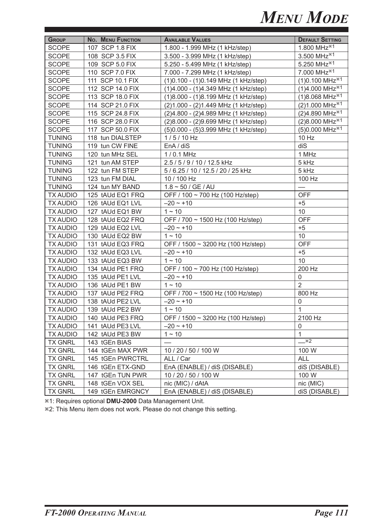| <b>GROUP</b>    | No. MENU FUNCTION | <b>AVAILABLE VALUES</b>                | <b>DEFAULT SETTING</b>                    |
|-----------------|-------------------|----------------------------------------|-------------------------------------------|
| <b>SCOPE</b>    | 107 SCP 1.8 FIX   | 1.800 - 1.999 MHz (1 kHz/step)         | 1.800 MHz <sup>*1</sup>                   |
| <b>SCOPE</b>    | 108 SCP 3.5 FIX   | 3.500 - 3.999 MHz (1 kHz/step)         | 3.500 MHz $^{*1}$                         |
| <b>SCOPE</b>    | 109 SCP 5.0 FIX   | 5.250 - 5.499 MHz (1 kHz/step)         | 5.250 MHz <sup>*1</sup>                   |
| <b>SCOPE</b>    | 110 SCP 7.0 FIX   | 7.000 - 7.299 MHz (1 kHz/step)         | 7.000 MHz <sup>*1</sup>                   |
| <b>SCOPE</b>    | 111 SCP 10.1 FIX  | (1) 0.100 - (1) 0.149 MHz (1 kHz/step) | $(1)0.100$ MHz <sup><math>*1</math></sup> |
| <b>SCOPE</b>    | 112 SCP 14.0 FIX  | (1)4.000 - (1)4.349 MHz (1 kHz/step)   | $(1)4.000$ MHz <sup><math>*1</math></sup> |
| <b>SCOPE</b>    | 113 SCP 18.0 FIX  | (1)8.000 - (1)8.199 MHz (1 kHz/step)   | $(1)8.068$ MHz <sup><math>*1</math></sup> |
| <b>SCOPE</b>    | 114 SCP 21.0 FIX  | (2) 1.000 - (2) 1.449 MHz (1 kHz/step) | $(2)1.000 \text{ MHz}^{*1}$               |
| <b>SCOPE</b>    | 115 SCP 24.8 FIX  | (2)4.800 - (2)4.989 MHz (1 kHz/step)   | (2)4.890 MHz <sup>*1</sup>                |
| <b>SCOPE</b>    | 116 SCP 28.0 FIX  | (2)8.000 - (2)9.699 MHz (1 kHz/step)   | $(2)8.000$ MHz <sup><math>*1</math></sup> |
| <b>SCOPE</b>    | 117 SCP 50.0 FIX  | (5) 0.000 - (5) 3.999 MHz (1 kHz/step) | $(5)0.000$ MHz <sup><math>*1</math></sup> |
| <b>TUNING</b>   | 118 tun DIALSTEP  | $1/5/10$ Hz                            | 10 Hz                                     |
| <b>TUNING</b>   | 119 tun CW FINE   | EnA / diS                              | diS                                       |
| <b>TUNING</b>   | 120 tun MHz SEL   | 1/0.1 MHz                              | 1 MHz                                     |
| <b>TUNING</b>   | 121 tun AM STEP   | 2.5 / 5 / 9 / 10 / 12.5 kHz            | 5 kHz                                     |
| <b>TUNING</b>   | 122 tun FM STEP   | 5 / 6.25 / 10 / 12.5 / 20 / 25 kHz     | 5 kHz                                     |
| <b>TUNING</b>   | 123 tun FM DIAL   | 10 / 100 Hz                            | 100 Hz                                    |
| <b>TUNING</b>   | 124 tun MY BAND   | $1.8 \sim 50 / GE / AU$                |                                           |
| <b>TX AUDIO</b> | 125 tAUd EQ1 FRQ  | OFF / 100 ~ 700 Hz (100 Hz/step)       | <b>OFF</b>                                |
| <b>TX AUDIO</b> | 126 tAUd EQ1 LVL  | $-20 - 10$                             | $+5$                                      |
| <b>TX AUDIO</b> | 127 tAUd EQ1 BW   | $1 - 10$                               | 10                                        |
| <b>TX AUDIO</b> | 128 tAUd EQ2 FRQ  | OFF / 700 ~ 1500 Hz (100 Hz/step)      | <b>OFF</b>                                |
| <b>TX AUDIO</b> | 129 tAUd EQ2 LVL  | $-20 - 10$                             | $+5$                                      |
| <b>TX AUDIO</b> | 130 tAUd EQ2 BW   | $1 - 10$                               | 10                                        |
| <b>TX AUDIO</b> | 131 tAUd EQ3 FRQ  | OFF / 1500 ~ 3200 Hz (100 Hz/step)     | <b>OFF</b>                                |
| <b>TX AUDIO</b> | 132 tAUd EQ3 LVL  | $-20 - 10$                             | $+5$                                      |
| <b>TX AUDIO</b> | 133 tAUd EQ3 BW   | $1 - 10$                               | 10                                        |
| <b>TX AUDIO</b> | 134 tAUd PE1 FRQ  | OFF / 100 ~ 700 Hz (100 Hz/step)       | 200 Hz                                    |
| <b>TX AUDIO</b> | 135 tAUd PE1 LVL  | $-20 \sim +10$                         | 0                                         |
| <b>TX AUDIO</b> | 136 tAUd PE1 BW   | $1 - 10$                               | $\overline{2}$                            |
| <b>TX AUDIO</b> | 137 tAUd PE2 FRQ  | OFF / 700 ~ 1500 Hz (100 Hz/step)      | 800 Hz                                    |
| <b>TX AUDIO</b> | 138 tAUd PE2 LVL  | $-20 \sim +10$                         | 0                                         |
| <b>TX AUDIO</b> | 139 tAUd PE2 BW   | $1 - 10$                               | $\mathbf{1}$                              |
| <b>TX AUDIO</b> | 140 tAUd PE3 FRQ  | OFF / 1500 ~ 3200 Hz (100 Hz/step)     | 2100 Hz                                   |
| <b>TX AUDIO</b> | 141 tAUd PE3 LVL  | $-20 - 10$                             | 0                                         |
| <b>TX AUDIO</b> | 142 tAUd PE3 BW   | $1 - 10$                               | $\mathbf{1}$                              |
| <b>TX GNRL</b>  | 143 tGEn BIAS     |                                        | $ *2$                                     |
| <b>TX GNRL</b>  | 144 tGEn MAX PWR  | 10 / 20 / 50 / 100 W                   | 100 W                                     |
| <b>TX GNRL</b>  | 145 tGEn PWRCTRL  | ALL / Car                              | <b>ALL</b>                                |
| <b>TX GNRL</b>  | 146 tGEn ETX-GND  | EnA (ENABLE) / diS (DISABLE)           | diS (DISABLE)                             |
| <b>TX GNRL</b>  | 147 tGEn TUN PWR  | 10 / 20 / 50 / 100 W                   | 100 W                                     |
| <b>TX GNRL</b>  | 148 tGEn VOX SEL  | nic (MIC) / dAtA                       | nic (MIC)                                 |
| <b>TX GNRL</b>  | 149 tGEn EMRGNCY  | EnA (ENABLE) / diS (DISABLE)           | diS (DISABLE)                             |

**<sup>\*</sup>1: Requires optional DMU-2000** Data Management Unit.

**<sup>\*2</sup>**: This Menu item does not work. Please do not change this setting.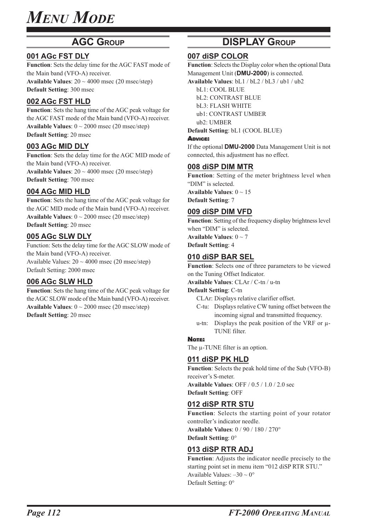### **AGC GROUP**

### **001 AGc FST DLY**

**Function**: Sets the delay time for the AGC FAST mode of the Main band (VFO-A) receiver. **Available Values**: 20 ~ 4000 msec (20 msec/step) **Default Setting**: 300 msec

### **002 AGc FST HLD**

**Function**: Sets the hang time of the AGC peak voltage for the AGC FAST mode of the Main band (VFO-A) receiver. **Available Values**:  $0 \sim 2000$  msec (20 msec/step) **Default Setting**: 20 msec

### **003 AGc MID DLY**

**Function**: Sets the delay time for the AGC MID mode of the Main band (VFO-A) receiver. **Available Values**:  $20 \sim 4000$  msec (20 msec/step) **Default Setting**: 700 msec

### **004 AGc MID HLD**

**Function**: Sets the hang time of the AGC peak voltage for the AGC MID mode of the Main band (VFO-A) receiver. **Available Values**: 0 ~ 2000 msec (20 msec/step) **Default Setting**: 20 msec

### **005 AGc SLW DLY**

Function: Sets the delay time for the AGC SLOW mode of the Main band (VFO-A) receiver. Available Values:  $20 \sim 4000$  msec (20 msec/step) Default Setting: 2000 msec

### **006 AGc SLW HLD**

**Function**: Sets the hang time of the AGC peak voltage for the AGC SLOW mode of the Main band (VFO-A) receiver. **Available Values**:  $0 \sim 2000$  msec (20 msec/step) **Default Setting**: 20 msec

### **DISPLAY GROUP**

### **007 diSP COLOR**

**Function**: Selects the Display color when the optional Data Management Unit (**DMU-2000**) is connected.

**Available Values**: bL1 / bL2 / bL3 / ub1 / ub2

bL1: COOL BLUE

bL2: CONTRAST BLUE

bL3: FLASH WHITE ub1: CONTRAST UMBER

ub2: UMBER

**Default Setting**: bL1 (COOL BLUE)

### ADVICE:

If the optional **DMU-2000** Data Management Unit is not connected, this adjustment has no effect.

### **008 diSP DIM MTR**

**Function**: Setting of the meter brightness level when "DIM" is selected.

**Available Values**: 0 ~ 15 **Default Setting**: 7

### **009 diSP DIM VFD**

**Function**: Setting of the frequency display brightness level when "DIM" is selected.

**Available Values**: 0 ~ 7 **Default Setting**: 4

### **010 diSP BAR SEL**

**Function**: Selects one of three parameters to be viewed on the Tuning Offset Indicator.

**Available Values**: CLAr / C-tn / u-tn

#### **Default Setting**: C-tn

CLAr: Displays relative clarifier offset.

- C-tu: Displays relative CW tuning offset between the incoming signal and transmitted frequency.
- u-tn: Displays the peak position of the VRF or μ-TUNE filter.

### NOTE:

The μ-TUNE filter is an option.

### **011 diSP PK HLD**

**Function**: Selects the peak hold time of the Sub (VFO-B) receiver's S-meter. **Available Values**: OFF / 0.5 / 1.0 / 2.0 sec

**Default Setting**: OFF

### **012 diSP RTR STU**

**Function**: Selects the starting point of your rotator controller's indicator needle. **Available Values**: 0 / 90 / 180 / 270° **Default Setting**: 0°

### **013 diSP RTR ADJ**

**Function**: Adjusts the indicator needle precisely to the starting point set in menu item "012 diSP RTR STU." Available Values:  $-30 \sim 0^{\circ}$ Default Setting: 0°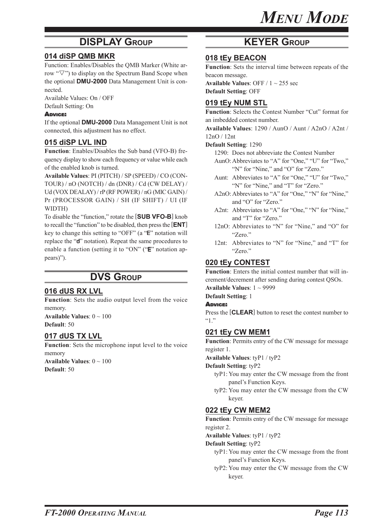### **DISPLAY GROUP KEYER GROUP**

### **014 diSP QMB MKR**

Function: Enables/Disables the QMB Marker (White arrow " $\nabla$ ") to display on the Spectrum Band Scope when the optional **DMU-2000** Data Management Unit is connected.

Available Values: On / OFF Default Setting: On

#### ADVICE:

If the optional **DMU-2000** Data Management Unit is not connected, this adjustment has no effect.

### **015 diSP LVL IND**

**Function**: Enables/Disables the Sub band (VFO-B) frequency display to show each frequency or value while each of the enabled knob is turned.

**Available Values**: PI (PITCH) / SP (SPEED) / CO (CON-TOUR) / nO (NOTCH) / dn (DNR) / Cd (CW DELAY) / Ud (VOX DEALAY) / rP (RF POWER) / nG (MIC GAIN) / Pr (PROCESSOR GAIN) / SH (IF SHIFT) / UI (IF WIDTH)

To disable the "function," rotate the [**SUB VFO-B**] knob to recall the "function" to be disabled, then press the [**ENT**] key to change this setting to "OFF" (a "E" notation will replace the "d" notation). Repeat the same procedures to enable a function (setting it to "ON" ("E" notation appears)").

### **DVS GROUP**

### **016 dUS RX LVL**

**Function**: Sets the audio output level from the voice memory.

**Available Values**: 0 ~ 100 **Default**: 50

### **017 dUS TX LVL**

**Function**: Sets the microphone input level to the voice memory **Available Values**: 0 ~ 100 **Default**: 50

### **018 tEy BEACON**

**Function**: Sets the interval time between repeats of the beacon message.

**Available Values**: OFF / 1 ~ 255 sec **Default Setting**: OFF

### **019 tEy NUM STL**

**Function**: Selects the Contest Number "Cut" format for an imbedded contest number.

**Available Values**: 1290 / AunO / Aunt / A2nO / A2nt /

12nO / 12nt **Default Setting**: 1290

1290: Does not abbreviate the Contest Number

- AunO:Abbreviates to "A" for "One," "U" for "Two," "N" for "Nine," and "O" for "Zero."
- Aunt: Abbreviates to "A" for "One," "U" for "Two," "N" for "Nine," and "T" for "Zero."
- A2nO: Abbreviates to "A" for "One," "N" for "Nine," and "O" for "Zero."
- A2nt: Abbreviates to "A" for "One," "N" for "Nine," and "T" for "Zero."
- 12nO: Abbreviates to "N" for "Nine," and "O" for "Zero."
- 12nt: Abbreviates to "N" for "Nine," and "T" for "Zero."

### **020 tEy CONTEST**

**Function**: Enters the initial contest number that will increment/decrement after sending during contest QSOs.

**Available Values**: 1 ~ 9999

### **Default Setting**: 1

ADVICE:

Press the [**CLEAR**] button to reset the contest number to  $~^{44}$   $\overline{1}$ ."

### **021 tEy CW MEM1**

**Function**: Permits entry of the CW message for message register 1.

**Available Values**: tyP1 / tyP2

**Default Setting**: tyP2

- tyP1: You may enter the CW message from the front panel's Function Keys.
- tyP2: You may enter the CW message from the CW keyer.

### **022 tEy CW MEM2**

**Function**: Permits entry of the CW message for message register 2.

**Available Values**: tyP1 / tyP2

**Default Setting**: tyP2

- tyP1: You may enter the CW message from the front panel's Function Keys.
- tyP2: You may enter the CW message from the CW keyer.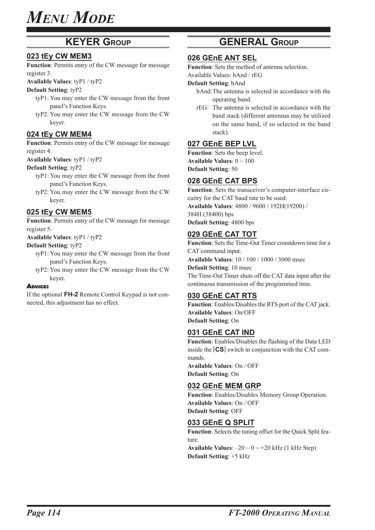### **KEYER GROUP**

### **023 tEy CW MEM3**

**Function**: Permits entry of the CW message for message register 3.

**Available Values**: tyP1 / tyP2

#### **Default Setting**: tyP2

- tyP1: You may enter the CW message from the front panel's Function Keys.
- tyP2: You may enter the CW message from the CW keyer.

### **024 tEy CW MEM4**

**Function**: Permits entry of the CW message for message register 4.

**Available Values**: tyP1 / tyP2

### **Default Setting**: tyP2

- tyP1: You may enter the CW message from the front panel's Function Keys.
- tyP2: You may enter the CW message from the CW keyer.

### **025 tEy CW MEM5**

**Function**: Permits entry of the CW message for message register 5.

**Available Values**: tyP1 / tyP2

### **Default Setting**: tyP2

- tyP1: You may enter the CW message from the front panel's Function Keys.
- tyP2: You may enter the CW message from the CW keyer.

#### ADVICE:

If the optional **FH-2** Remote Control Keypad is not connected, this adjustment has no effect.

### **GENERAL GROUP**

### **026 GEnE ANT SEL**

**Function**: Sets the method of antenna selection.

Available Values: bAnd / rEG

### **Default Setting**: bAnd

- bAnd:The antenna is selected in accordance with the operating band.
- rEG: The antenna is selected in accordance with the band stack (different antennas may be utilized on the same band, if so selected in the band stack).

### **027 GEnE BEP LVL**

**Function**: Sets the beep level. **Available Values**: 0 ~ 100 **Default Setting**: 50

### **028 GEnE CAT BPS**

**Function**: Sets the transceiver's computer-interface circuitry for the CAT baud rate to be used. **Available Values**: 4800 / 9600 / 192H(19200) / 384H (38400) bps **Default Setting**: 4800 bps

### **029 GEnE CAT TOT**

**Function**: Sets the Time-Out Timer countdown time for a CAT command input. **Available Values**: 10 / 100 / 1000 / 3000 msec **Default Setting**: 10 msec The Time-Out Timer shuts off the CAT data input after the continuous transmission of the programmed time.

### **030 GEnE CAT RTS**

**Function**: Enables/Disables the RTS port of the CAT jack. **Available Values**: On/OFF **Default Setting**: On

### **031 GEnE CAT IND**

**Function**: Enables/Disables the flashing of the Data LED inside the [**CS**] switch in conjunction with the CAT commands. **Available Values**: On / OFF

**Default Setting**: On

### **032 GEnE MEM GRP**

**Function**: Enables/Disables Memory Group Operation. **Available Values**: On / OFF **Default Setting**: OFF

### **033 GEnE Q SPLIT**

**Function**: Selects the tuning offset for the Quick Split feature.

**Available Values:**  $-20 \sim 0 \sim +20$  kHz (1 kHz Step) **Default Setting**: +5 kHz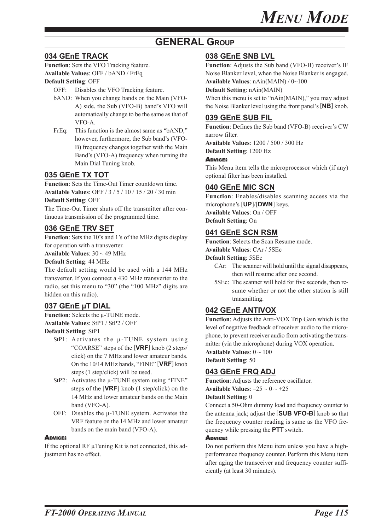### **GENERAL GROUP**

### **034 GEnE TRACK**

**Function**: Sets the VFO Tracking feature. **Available Values**: OFF / bAND / FrEq

### **Default Setting**: OFF

OFF: Disables the VFO Tracking feature.

- bAND: When you change bands on the Main (VFO-A) side, the Sub (VFO-B) band's VFO will automatically change to be the same as that of VFO-A.
- FrEq: This function is the almost same as "bAND," however, furthermore, the Sub band's (VFO-B) frequency changes together with the Main Band's (VFO-A) frequency when turning the Main Dial Tuning knob.

### **035 GEnE TX TOT**

**Function**: Sets the Time-Out Timer countdown time. **Available Values**: OFF / 3 / 5 / 10 / 15 / 20 / 30 min **Default Setting**: OFF

The Time-Out Timer shuts off the transmitter after continuous transmission of the programmed time.

### **036 GEnE TRV SET**

**Function**: Sets the 10's and 1's of the MHz digits display for operation with a transverter.

**Available Values**: 30 ~ 49 MHz

**Default Setting**: 44 MHz

The default setting would be used with a 144 MHz transverter. If you connect a 430 MHz transverter to the radio, set this menu to "30" (the "100 MHz" digits are hidden on this radio).

### **037 GEnE μT DIAL**

**Function**: Selects the μ-TUNE mode. **Available Values**: StP1 / StP2 / OFF

**Default Setting**: StP1

- StP1: Activates the μ-TUNE system using "COARSE" steps of the [**VRF**] knob (2 steps/ click) on the 7 MHz and lower amateur bands. On the 10/14 MHz bands, "FINE" [**VRF**] knob steps (1 step/click) will be used.
- StP2: Activates the μ-TUNE system using "FINE" steps of the [**VRF**] knob (1 step/click) on the 14 MHz and lower amateur bands on the Main band (VFO-A).
- OFF: Disables the μ-TUNE system. Activates the VRF feature on the 14 MHz and lower amateur bands on the main band (VFO-A).

### **ADVICE:**

If the optional RF μTuning Kit is not connected, this adjustment has no effect.

### **038 GEnE SNB LVL**

**Function**: Adjusts the Sub band (VFO-B) receiver's IF Noise Blanker level, when the Noise Blanker is engaged. **Available Values**: nAin(MAIN) / 0~100

**Default Setting**: nAin(MAIN)

When this menu is set to "nAin(MAIN)," you may adjust the Noise Blanker level using the front panel's [**NB**] knob.

### **039 GEnE SUB FIL**

**Function**: Defines the Sub band (VFO-B) receiver's CW narrow filter.

**Available Values**: 1200 / 500 / 300 Hz **Default Setting**: 1200 Hz

### ADVICE:

This Menu item tells the microprocessor which (if any) optional filter has been installed.

### **040 GEnE MIC SCN**

**Function**: Enables/disables scanning access via the microphone's [**UP**]/[**DWN**] keys. **Available Values**: On / OFF **Default Setting**: On

### **041 GEnE SCN RSM**

**Function**: Selects the Scan Resume mode.

**Available Values**: CAr / 5SEc

**Default Setting**: 5SEc

- CAr: The scanner will hold until the signal disappears, then will resume after one second.
- 5SEc: The scanner will hold for five seconds, then resume whether or not the other station is still transmitting.

### **042 GEnE ANTIVOX**

**Function**: Adjusts the Anti-VOX Trip Gain which is the level of negative feedback of receiver audio to the microphone, to prevent receiver audio from activating the transmitter (via the microphone) during VOX operation.

**Available Values**: 0 ~ 100

**Default Setting**: 50

### **043 GEnE FRQ ADJ**

**Function**: Adjusts the reference oscillator. **Available Values:**  $-25 \sim 0 \sim +25$ 

### **Default Setting**: 0

Connect a 50-Ohm dummy load and frequency counter to the antenna jack; adjust the [**SUB VFO-B**] knob so that the frequency counter reading is same as the VFO frequency while pressing the **PTT** switch.

### ADVICE:

Do not perform this Menu item unless you have a highperformance frequency counter. Perform this Menu item after aging the transceiver and frequency counter sufficiently (at least 30 minutes).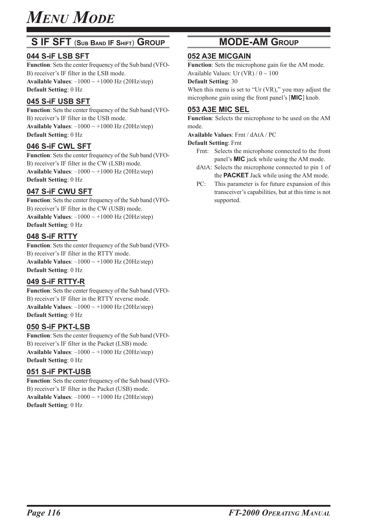### **S IF SFT** (**SUB BAND IF SHIFT**) **GROUP**

### **044 S-iF LSB SFT**

**Function**: Sets the center frequency of the Sub band (VFO-B) receiver's IF filter in the LSB mode. **Available Values**: –1000 ~ +1000 Hz (20Hz/step) **Default Setting**: 0 Hz

### **045 S-iF USB SFT**

**Function**: Sets the center frequency of the Sub band (VFO-B) receiver's IF filter in the USB mode. **Available Values:**  $-1000 \sim +1000$  Hz (20Hz/step) **Default Setting**: 0 Hz

### **046 S-iF CWL SFT**

**Function**: Sets the center frequency of the Sub band (VFO-B) receiver's IF filter in the CW (LSB) mode. **Available Values:**  $-1000 \sim +1000$  Hz (20Hz/step) **Default Setting**: 0 Hz

### **047 S-iF CWU SFT**

**Function**: Sets the center frequency of the Sub band (VFO-B) receiver's IF filter in the CW (USB) mode. **Available Values:**  $-1000 \sim +1000$  Hz (20Hz/step) **Default Setting**: 0 Hz

### **048 S-iF RTTY**

**Function**: Sets the center frequency of the Sub band (VFO-B) receiver's IF filter in the RTTY mode. **Available Values:**  $-1000 \sim +1000$  Hz (20Hz/step) **Default Setting**: 0 Hz

### **049 S-iF RTTY-R**

**Function**: Sets the center frequency of the Sub band (VFO-B) receiver's IF filter in the RTTY reverse mode. **Available Values:**  $-1000 \sim +1000$  Hz (20Hz/step) **Default Setting**: 0 Hz

### **050 S-iF PKT-LSB**

**Function**: Sets the center frequency of the Sub band (VFO-B) receiver's IF filter in the Packet (LSB) mode. **Available Values:**  $-1000 \sim +1000$  Hz (20Hz/step) **Default Setting**: 0 Hz

### **051 S-iF PKT-USB**

**Function**: Sets the center frequency of the Sub band (VFO-B) receiver's IF filter in the Packet (USB) mode. **Available Values:**  $-1000 \sim +1000$  Hz (20Hz/step) **Default Setting**: 0 Hz

### **MODE-AM GROUP**

### **052 A3E MICGAIN**

**Function**: Sets the microphone gain for the AM mode. Available Values: Ur (VR)  $/ 0 \sim 100$ 

#### **Default Setting**: 30

When this menu is set to "Ur (VR)," you may adjust the microphone gain using the front panel's [**MIC**] knob.

### **053 A3E MIC SEL**

**Function**: Selects the microphone to be used on the AM mode.

**Available Values**: Frnt / dAtA / PC

**Default Setting**: Frnt

- Frnt: Selects the microphone connected to the front panel's **MIC** jack while using the AM mode.
- dAtA: Selects the microphone connected to pin 1 of the **PACKET** Jack while using the AM mode.
- PC: This parameter is for future expansion of this transceiver's capabilities, but at this time is not supported.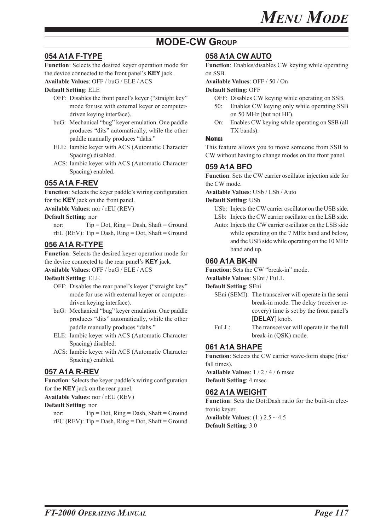### **MODE-CW GROUP**

### **054 A1A F-TYPE**

**Function**: Selects the desired keyer operation mode for the device connected to the front panel's **KEY** jack.

### **Available Values**: OFF / buG / ELE / ACS

**Default Setting**: ELE

- OFF: Disables the front panel's keyer ("straight key" mode for use with external keyer or computerdriven keying interface).
- buG: Mechanical "bug" keyer emulation. One paddle produces "dits" automatically, while the other paddle manually produces "dahs."
- ELE: Iambic keyer with ACS (Automatic Character Spacing) disabled.
- ACS: Iambic keyer with ACS (Automatic Character Spacing) enabled.

### **055 A1A F-REV**

**Function**: Selects the keyer paddle's wiring configuration for the **KEY** jack on the front panel.

**Available Values**: nor / rEU (REV)

#### **Default Setting**: nor

nor:  $Tip = Dot$ ,  $Ring = Dash$ ,  $Shaft = Ground$  $rEU$  (REV): Tip = Dash, Ring = Dot, Shaft = Ground

### **056 A1A R-TYPE**

**Function**: Selects the desired keyer operation mode for the device connected to the rear panel's **KEY** jack.

**Available Values**: OFF / buG / ELE / ACS

#### **Default Setting**: ELE

- OFF: Disables the rear panel's keyer ("straight key" mode for use with external keyer or computerdriven keying interface).
- buG: Mechanical "bug" keyer emulation. One paddle produces "dits" automatically, while the other paddle manually produces "dahs."
- ELE: Iambic keyer with ACS (Automatic Character Spacing) disabled.
- ACS: Iambic keyer with ACS (Automatic Character Spacing) enabled.

### **057 A1A R-REV**

**Function**: Selects the keyer paddle's wiring configuration for the **KEY** jack on the rear panel.

#### **Available Values**: nor / rEU (REV)

#### **Default Setting**: nor

nor:  $Tip = Dot$ ,  $Ring = Dash$ ,  $Shaft = Ground$  $rEU$  (REV): Tip = Dash, Ring = Dot, Shaft = Ground

### **058 A1A CW AUTO**

**Function**: Enables/disables CW keying while operating on SSB.

**Available Values**: OFF / 50 / On

#### **Default Setting**: OFF

- OFF: Disables CW keying while operating on SSB.
- 50: Enables CW keying only while operating SSB on 50 MHz (but not HF).
- On: Enables CW keying while operating on SSB (all TX bands).

#### NOTE:

This feature allows you to move someone from SSB to CW without having to change modes on the front panel.

### **059 A1A BFO**

**Function**: Sets the CW carrier oscillator injection side for the CW mode.

**Available Values**: USb / LSb / Auto

#### **Default Setting**: USb

- USb: Injects the CW carrier oscillator on the USB side. LSb: Injects the CW carrier oscillator on the LSB side.
- Auto: Injects the CW carrier oscillator on the LSB side while operating on the 7 MHz band and below, and the USB side while operating on the 10 MHz band and up.

### **060 A1A BK-IN**

**Function**: Sets the CW "break-in" mode.

#### **Available Values**: SEni / FuLL

#### **Default Setting**: SEni

- SEni (SEMI): The transceiver will operate in the semi break-in mode. The delay (receiver recovery) time is set by the front panel's [**DELAY**] knob.
- FuLL: The transceiver will operate in the full break-in (QSK) mode.

### **061 A1A SHAPE**

Function: Selects the CW carrier wave-form shape (rise/ fall times).

**Available Values**: 1 / 2 / 4 / 6 msec

**Default Setting**: 4 msec

### **062 A1A WEIGHT**

**Function**: Sets the Dot:Dash ratio for the built-in electronic keyer. **Available Values**: (1:) 2.5 ~ 4.5

**Default Setting**: 3.0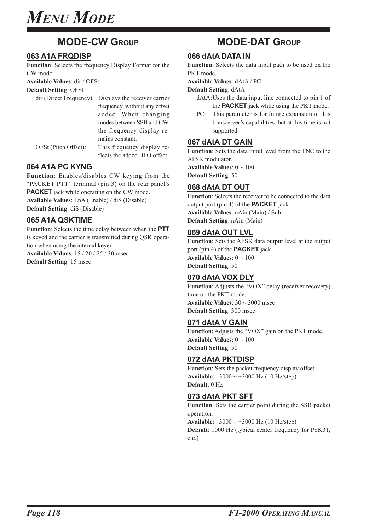### **MODE-CW GROUP**

### **063 A1A FRQDISP**

**Function**: Selects the frequency Display Format for the CW mode.

**Available Values**: dir / OFSt

**Default Setting**: OFSt

|                      | dir (Direct Frequency): Displays the receiver carrier |
|----------------------|-------------------------------------------------------|
|                      | frequency, without any offset                         |
|                      | added. When changing                                  |
|                      | modes between SSB and CW,                             |
|                      | the frequency display re-                             |
|                      | mains constant.                                       |
| OFSt (Pitch Offset): | This frequency display re-                            |
|                      | flects the added BFO offset.                          |

### **064 A1A PC KYNG**

**Function**: Enables/disables CW keying from the "PACKET PTT" terminal (pin 3) on the rear panel's **PACKET** jack while operating on the CW mode. **Available Values**: EnA (Enable) / diS (Disable) **Default Setting**: diS (Disable)

### **065 A1A QSKTIME**

**Function**: Selects the time delay between when the **PTT** is keyed and the carrier is transmitted during QSK operation when using the internal keyer.

**Available Values**: 15 / 20 / 25 / 30 msec **Default Setting**: 15 msec

### **MODE-DAT GROUP**

### **066 dAtA DATA IN**

**Function**: Selects the data input path to be used on the PKT mode.

**Available Values**: dAtA / PC

**Default Setting**: dAtA

- dAtA:Uses the data input line connected to pin 1 of the **PACKET** jack while using the PKT mode.
- PC: This parameter is for future expansion of this transceiver's capabilities, but at this time is not supported.

### **067 dAtA DT GAIN**

**Function**: Sets the data input level from the TNC to the AFSK modulator.

**Available Values**: 0 ~ 100 **Default Setting**: 50

### **068 dAtA DT OUT**

**Function**: Selects the receiver to be connected to the data output port (pin 4) of the **PACKET** jack. **Available Values**: nAin (Main) / Sub **Default Setting**: nAin (Main)

### **069 dAtA OUT LVL**

**Function**: Sets the AFSK data output level at the output port (pin 4) of the **PACKET** jack. **Available Values**: 0 ~ 100 **Default Setting**: 50

### **070 dAtA VOX DLY**

Function: Adjusts the "VOX" delay (receiver recovery) time on the PKT mode. **Available Values**: 30 ~ 3000 msec **Default Setting**: 300 msec

### **071 dAtA V GAIN**

**Function**: Adjusts the "VOX" gain on the PKT mode. **Available Values**: 0 ~ 100 **Default Setting**: 50

### **072 dAtA PKTDISP**

Function: Sets the packet frequency display offset. **Available**: –3000 ~ +3000 Hz (10 Hz/step) **Default**: 0 Hz

### **073 dAtA PKT SFT**

**Function**: Sets the carrier point during the SSB packet operation. **Available**: –3000 ~ +3000 Hz (10 Hz/step)

**Default**: 1000 Hz (typical center frequency for PSK31, etc.)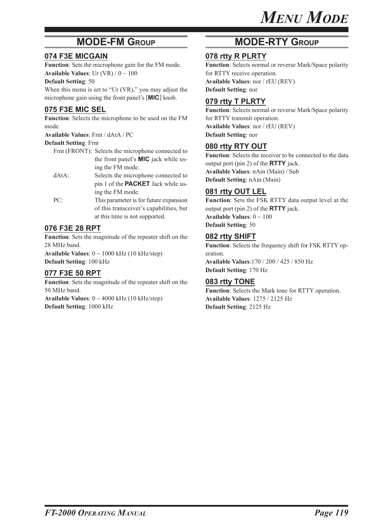### **MODE-FM GROUP**

### **074 F3E MICGAIN**

**Function**: Sets the microphone gain for the FM mode. **Available Values**: Ur  $(VR) / 0 \sim 100$ 

#### **Default Setting**: 50

When this menu is set to "Ur (VR)," you may adjust the microphone gain using the front panel's [**MIC**] knob.

### **075 F3E MIC SEL**

**Function**: Selects the microphone to be used on the FM mode.

**Available Values**: Frnt / dAtA / PC

### **Default Setting**: Frnt

- Frnt (FRONT): Selects the microphone connected to the front panel's **MIC** jack while using the FM mode.
- dAtA: Selects the microphone connected to pin 1 of the **PACKET** Jack while using the FM mode.
- PC: This parameter is for future expansion of this transceiver's capabilities, but at this time is not supported.

### **076 F3E 28 RPT**

**Function**: Sets the magnitude of the repeater shift on the 28 MHz band. **Available Values**: 0 ~ 1000 kHz (10 kHz/step)

**Default Setting**: 100 kHz

### **077 F3E 50 RPT**

**Function**: Sets the magnitude of the repeater shift on the 50 MHz band. **Available Values**: 0 ~ 4000 kHz (10 kHz/step) **Default Setting**: 1000 kHz

### **MODE-RTY GROUP**

### **078 rtty R PLRTY**

**Function**: Selects normal or reverse Mark/Space polarity for RTTY receive operation. **Available Values**: nor / rEU (REV) **Default Setting**: nor

### **079 rtty T PLRTY**

**Function**: Selects normal or reverse Mark/Space polarity for RTTY transmit operation. **Available Values**: nor / rEU (REV) **Default Setting**: nor

### **080 rtty RTY OUT**

**Function**: Selects the receiver to be connected to the data output port (pin 2) of the **RTTY** jack. **Available Values**: nAin (Main) / Sub **Default Setting**: nAin (Main)

### **081 rtty OUT LEL**

**Function**: Sets the FSK RTTY data output level at the output port (pin 2) of the **RTTY** jack. **Available Values**: 0 ~ 100 **Default Setting**: 50

### **082 rtty SHIFT**

**Function**: Selects the frequency shift for FSK RTTY operation.

**Available Values**:170 / 200 / 425 / 850 Hz **Default Setting**: 170 Hz

### **083 rtty TONE**

**Function**: Selects the Mark tone for RTTY operation. **Available Values**: 1275 / 2125 Hz **Default Setting**: 2125 Hz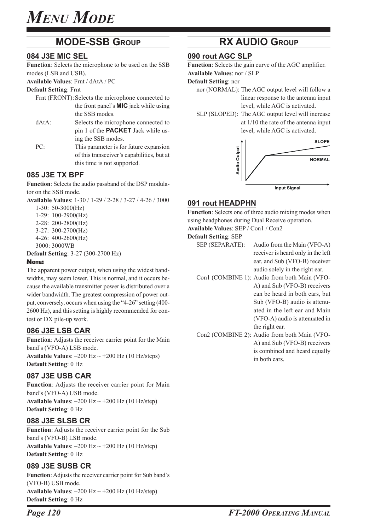### **MODE-SSB GROUP**

### **084 J3E MIC SEL**

**Function**: Selects the microphone to be used on the SSB modes (LSB and USB).

**Available Values**: Frnt / dAtA / PC

**Default Setting**: Frnt

- Frnt (FRONT): Selects the microphone connected to the front panel's **MIC** jack while using the SSB modes.
- dAtA: Selects the microphone connected to pin 1 of the **PACKET** Jack while using the SSB modes.
- PC: This parameter is for future expansion of this transceiver's capabilities, but at this time is not supported.

### **085 J3E TX BPF**

**Function**: Selects the audio passband of the DSP modulator on the SSB mode.

**Available Values**: 1-30 / 1-29 / 2-28 / 3-27 / 4-26 / 3000

- 1-30: 50-3000(Hz)
- 1-29: 100-2900(Hz)
- 2-28: 200-2800(Hz)
- 3-27: 300-2700(Hz)
- 4-26: 400-2600(Hz)
- 3000: 3000WB
- **Default Setting**: 3-27 (300-2700 Hz)

#### NOTE:

The apparent power output, when using the widest bandwidths, may seem lower. This is normal, and it occurs because the available transmitter power is distributed over a wider bandwidth. The greatest compression of power output, conversely, occurs when using the "4-26" setting (400- 2600 Hz), and this setting is highly recommended for contest or DX pile-up work.

### **086 J3E LSB CAR**

**Function**: Adjusts the receiver carrier point for the Main band's (VFO-A) LSB mode.

**Available Values:**  $-200$  Hz  $\sim$   $+200$  Hz (10 Hz/steps) **Default Setting**: 0 Hz

### **087 J3E USB CAR**

**Function**: Adjusts the receiver carrier point for Main band's (VFO-A) USB mode. **Available Values:**  $-200$  Hz  $\sim$   $+200$  Hz (10 Hz/step) **Default Setting**: 0 Hz

### **088 J3E SLSB CR**

**Function**: Adjusts the receiver carrier point for the Sub band's (VFO-B) LSB mode. **Available Values:**  $-200$  Hz  $\sim$   $+200$  Hz (10 Hz/step) **Default Setting**: 0 Hz

### **089 J3E SUSB CR**

**Function**: Adjusts the receiver carrier point for Sub band's (VFO-B) USB mode. **Available Values:**  $-200$  Hz  $\sim$   $+200$  Hz (10 Hz/step) **Default Setting**: 0 Hz

### **RX AUDIO GROUP**

### **090 rout AGC SLP**

**Function**: Selects the gain curve of the AGC amplifier. **Available Values**: nor / SLP

**Default Setting**: nor

- - nor (NORMAL): The AGC output level will follow a linear response to the antenna input level, while AGC is activated.
	- SLP (SLOPED): The AGC output level will increase at 1/10 the rate of the antenna input level, while AGC is activated.



### **091 rout HEADPHN**

**Function**: Selects one of three audio mixing modes when using headphones during Dual Receive operation. **Available Values**: SEP / Con1 / Con2

#### **Default Setting**: SEP

- SEP (SEPARATE): Audio from the Main (VFO-A) receiver is heard only in the left ear, and Sub (VFO-B) receiver audio solely in the right ear.
- Con1 (COMBINE 1): Audio from both Main (VFO-A) and Sub (VFO-B) receivers can be heard in both ears, but Sub (VFO-B) audio is attenuated in the left ear and Main (VFO-A) audio is attenuated in the right ear.
- Con2 (COMBINE 2): Audio from both Main (VFO-A) and Sub (VFO-B) receivers is combined and heard equally in both ears.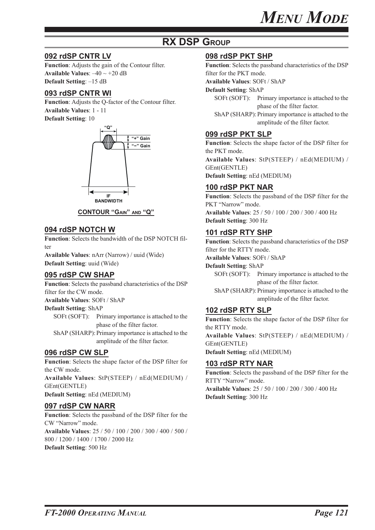### **RX DSP GROUP**

### **092 rdSP CNTR LV**

**Function**: Adjusts the gain of the Contour filter. **Available Values:**  $-40 \sim +20$  dB **Default Setting**: –15 dB

### **093 rdSP CNTR WI**

**Function**: Adjusts the Q-factor of the Contour filter. **Available Values**: 1 - 11 **Default Setting**: 10





### **094 rdSP NOTCH W**

**Function**: Selects the bandwidth of the DSP NOTCH filter

**Available Values**: nArr (Narrow) / uuid (Wide) **Default Setting**: uuid (Wide)

### **095 rdSP CW SHAP**

**Function**: Selects the passband characteristics of the DSP filter for the CW mode.

**Available Values**: SOFt / ShAP

#### **Default Setting**: ShAP

SOFt (SOFT): Primary importance is attached to the phase of the filter factor.

ShAP (SHARP): Primary importance is attached to the amplitude of the filter factor.

### **096 rdSP CW SLP**

**Function**: Selects the shape factor of the DSP filter for the CW mode. **Available Values**: StP(STEEP) / nEd(MEDIUM) / GEnt(GENTLE) **Default Setting**: nEd (MEDIUM)

### **097 rdSP CW NARR**

**Function**: Selects the passband of the DSP filter for the CW "Narrow" mode. **Available Values**: 25 / 50 / 100 / 200 / 300 / 400 / 500 / 800 / 1200 / 1400 / 1700 / 2000 Hz **Default Setting**: 500 Hz

### **098 rdSP PKT SHP**

**Function**: Selects the passband characteristics of the DSP filter for the PKT mode.

**Available Values**: SOFt / ShAP

**Default Setting**: ShAP

SOFt (SOFT): Primary importance is attached to the phase of the filter factor.

ShAP (SHARP): Primary importance is attached to the amplitude of the filter factor.

### **099 rdSP PKT SLP**

**Function**: Selects the shape factor of the DSP filter for the PKT mode.

**Available Values**: StP(STEEP) / nEd(MEDIUM) / GEnt(GENTLE)

**Default Setting**: nEd (MEDIUM)

### **100 rdSP PKT NAR**

**Function**: Selects the passband of the DSP filter for the PKT "Narrow" mode. **Available Values**: 25 / 50 / 100 / 200 / 300 / 400 Hz **Default Setting**: 300 Hz

### **101 rdSP RTY SHP**

**Function**: Selects the passband characteristics of the DSP filter for the RTTY mode.

**Available Values**: SOFt / ShAP

**Default Setting**: ShAP

SOFt (SOFT): Primary importance is attached to the phase of the filter factor.

ShAP (SHARP): Primary importance is attached to the amplitude of the filter factor.

### **102 rdSP RTY SLP**

**Function**: Selects the shape factor of the DSP filter for the RTTY mode.

**Available Values**: StP(STEEP) / nEd(MEDIUM) / GEnt(GENTLE)

**Default Setting**: nEd (MEDIUM)

### **103 rdSP RTY NAR**

**Function**: Selects the passband of the DSP filter for the RTTY "Narrow" mode. **Available Values**: 25 / 50 / 100 / 200 / 300 / 400 Hz **Default Setting**: 300 Hz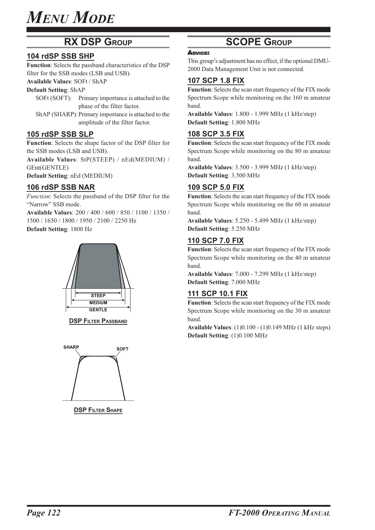### **RX DSP GROUP**

### **104 rdSP SSB SHP**

**Function**: Selects the passband characteristics of the DSP filter for the SSB modes (LSB and USB).

### **Available Values**: SOFt / ShAP

**Default Setting**: ShAP

- SOFt (SOFT): Primary importance is attached to the phase of the filter factor.
- ShAP (SHARP): Primary importance is attached to the amplitude of the filter factor.

### **105 rdSP SSB SLP**

**Function**: Selects the shape factor of the DSP filter for the SSB modes (LSB and USB).

**Available Values**: StP(STEEP) / nEd(MEDIUM) / GEnt(GENTLE)

**Default Setting**: nEd (MEDIUM)

### **106 rdSP SSB NAR**

*Function*: Selects the passband of the DSP filter for the "Narrow" SSB mode.

**Available Values**: 200 / 400 / 600 / 850 / 1100 / 1350 / 1500 / 1650 / 1800 / 1950 / 2100 / 2250 Hz

**Default Setting**: 1800 Hz



**DSP FILTER PASSBAND** 



**DSP FILTER SHAPE** 

### **SCOPE GROUP**

#### ADVICE:

This group's adjustment has no effect, if the optional DMU-2000 Data Management Unit is not connected.

### **107 SCP 1.8 FIX**

**Function**: Selects the scan start frequency of the FIX mode Spectrum Scope while monitoring on the 160 m amateur band.

**Available Values**: 1.800 - 1.999 MHz (1 kHz/step) **Default Setting**: 1.800 MHz

### **108 SCP 3.5 FIX**

**Function**: Selects the scan start frequency of the FIX mode Spectrum Scope while monitoring on the 80 m amateur band.

**Available Values**: 3.500 - 3.999 MHz (1 kHz/step) **Default Setting**: 3.500 MHz

### **109 SCP 5.0 FIX**

**Function**: Selects the scan start frequency of the FIX mode Spectrum Scope while monitoring on the 60 m amateur band.

**Available Values**: 5.250 - 5.499 MHz (1 kHz/step) **Default Setting**: 5.250 MHz

### **110 SCP 7.0 FIX**

**Function**: Selects the scan start frequency of the FIX mode Spectrum Scope while monitoring on the 40 m amateur band.

**Available Values**: 7.000 - 7.299 MHz (1 kHz/step) **Default Setting**: 7.000 MHz

### **111 SCP 10.1 FIX**

**Function**: Selects the scan start frequency of the FIX mode Spectrum Scope while monitoring on the 30 m amateur band.

**Available Values**: (1)0.100 - (1)0.149 MHz (1 kHz steps) **Default Setting**: (1)0.100 MHz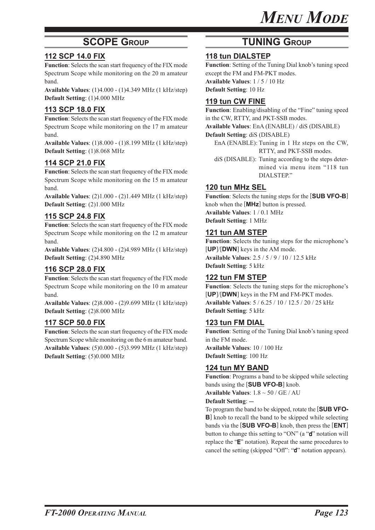### **SCOPE GROUP**

### **112 SCP 14.0 FIX**

**Function**: Selects the scan start frequency of the FIX mode Spectrum Scope while monitoring on the 20 m amateur band.

**Available Values**: (1)4.000 - (1)4.349 MHz (1 kHz/step) **Default Setting**: (1)4.000 MHz

### **113 SCP 18.0 FIX**

**Function**: Selects the scan start frequency of the FIX mode Spectrum Scope while monitoring on the 17 m amateur band.

**Available Values**: (1)8.000 - (1)8.199 MHz (1 kHz/step) **Default Setting**: (1)8.068 MHz

### **114 SCP 21.0 FIX**

**Function**: Selects the scan start frequency of the FIX mode Spectrum Scope while monitoring on the 15 m amateur band.

**Available Values**: (2)1.000 - (2)1.449 MHz (1 kHz/step) **Default Setting**: (2)1.000 MHz

### **115 SCP 24.8 FIX**

**Function**: Selects the scan start frequency of the FIX mode Spectrum Scope while monitoring on the 12 m amateur band.

**Available Values**: (2)4.800 - (2)4.989 MHz (1 kHz/step) **Default Setting**: (2)4.890 MHz

### **116 SCP 28.0 FIX**

**Function**: Selects the scan start frequency of the FIX mode Spectrum Scope while monitoring on the 10 m amateur band.

**Available Values**: (2)8.000 - (2)9.699 MHz (1 kHz/step) **Default Setting**: (2)8.000 MHz

### **117 SCP 50.0 FIX**

**Function**: Selects the scan start frequency of the FIX mode Spectrum Scope while monitoring on the 6 m amateur band. **Available Values**: (5)0.000 - (5)3.999 MHz (1 kHz/step) **Default Setting**: (5)0.000 MHz

### **TUNING GROUP**

### **118 tun DIALSTEP**

**Function**: Setting of the Tuning Dial knob's tuning speed except the FM and FM-PKT modes. **Available Values**: 1 / 5 / 10 Hz

**Default Setting**: 10 Hz

### **119 tun CW FINE**

**Function**: Enabling/disabling of the "Fine" tuning speed in the CW, RTTY, and PKT-SSB modes. **Available Values**: EnA (ENABLE) / diS (DISABLE)

**Default Setting**: diS (DISABLE)

- EnA (ENABLE): Tuning in 1 Hz steps on the CW, RTTY, and PKT-SSB modes.
- diS (DISABLE): Tuning according to the steps determined via menu item "118 tun DIALSTEP."

### **120 tun MHz SEL**

**Function**: Selects the tuning steps for the [**SUB VFO-B**] knob when the [**MHz**] button is pressed. **Available Values**: 1 / 0.1 MHz **Default Setting**: 1 MHz

### **121 tun AM STEP**

**Function**: Selects the tuning steps for the microphone's [**UP**]/[**DWN**] keys in the AM mode. **Available Values**: 2.5 / 5 / 9 / 10 / 12.5 kHz **Default Setting**: 5 kHz

### **122 tun FM STEP**

**Function**: Selects the tuning steps for the microphone's [**UP**]/[**DWN**] keys in the FM and FM-PKT modes. **Available Values**: 5 / 6.25 / 10 / 12.5 / 20 / 25 kHz **Default Setting**: 5 kHz

### **123 tun FM DIAL**

**Function**: Setting of the Tuning Dial knob's tuning speed in the FM mode. **Available Values**: 10 / 100 Hz **Default Setting**: 100 Hz

### **124 tun MY BAND**

**Function**: Programs a band to be skipped while selecting bands using the [**SUB VFO-B**] knob. **Available Values**: 1.8 ~ 50 / GE / AU

#### **Default Setting: --**

To program the band to be skipped, rotate the [**SUB VFO-B**] knob to recall the band to be skipped while selecting bands via the [**SUB VFO-B**] knob, then press the [**ENT**] button to change this setting to "ON" (a "d" notation will replace the "E" notation). Repeat the same procedures to cancel the setting (skipped "Off": "d" notation appears).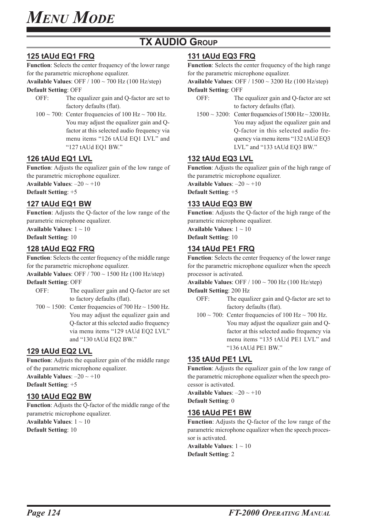### **TX AUDIO GROUP**

### **125 tAUd EQ1 FRQ**

**Function**: Selects the center frequency of the lower range for the parametric microphone equalizer.

**Available Values**: OFF / 100 ~ 700 Hz (100 Hz/step)

**Default Setting**: OFF

- OFF: The equalizer gain and Q-factor are set to factory defaults (flat).
- $100 \sim 700$ : Center frequencies of  $100$  Hz $\sim 700$  Hz. You may adjust the equalizer gain and Qfactor at this selected audio frequency via menu items "126 tAUd EQ1 LVL" and "127 tAUd EQ1 BW."

### **126 tAUd EQ1 LVL**

**Function**: Adjusts the equalizer gain of the low range of the parametric microphone equalizer.

**Available Values:**  $-20 \sim +10$ 

**Default Setting**: +5

### **127 tAUd EQ1 BW**

**Function**: Adjusts the Q-factor of the low range of the parametric microphone equalizer.

**Available Values**: 1 ~ 10

**Default Setting**: 10

### **128 tAUd EQ2 FRQ**

**Function**: Selects the center frequency of the middle range for the parametric microphone equalizer.

**Available Values**: OFF / 700 ~ 1500 Hz (100 Hz/step)

**Default Setting**: OFF

- OFF: The equalizer gain and Q-factor are set to factory defaults (flat).
- $700 \sim 1500$ : Center frequencies of  $700$  Hz $\sim 1500$  Hz. You may adjust the equalizer gain and Q-factor at this selected audio frequency via menu items "129 tAUd EQ2 LVL" and "130 tAUd EQ2 BW."

### **129 tAUd EQ2 LVL**

**Function**: Adjusts the equalizer gain of the middle range of the parametric microphone equalizer. **Available Values**: –20 ~ +10

**Default Setting**: +5

### **130 tAUd EQ2 BW**

**Function**: Adjusts the Q-factor of the middle range of the parametric microphone equalizer.

**Available Values**: 1 ~ 10 **Default Setting**: 10

### **131 tAUd EQ3 FRQ**

**Function**: Selects the center frequency of the high range for the parametric microphone equalizer.

**Available Values**: OFF / 1500 ~ 3200 Hz (100 Hz/step) **Default Setting**: OFF

- OFF: The equalizer gain and Q-factor are set to factory defaults (flat).
- $1500 \sim 3200$ : Center frequencies of  $1500$  Hz $\sim 3200$  Hz. You may adjust the equalizer gain and Q-factor in this selected audio frequency via menu items "132 tAUd EQ3 LVL" and "133 tAUd EQ3 BW."

### **132 tAUd EQ3 LVL**

**Function**: Adjusts the equalizer gain of the high range of the parametric microphone equalizer. **Available Values:**  $-20 \sim +10$ 

**Default Setting**: +5

### **133 tAUd EQ3 BW**

**Function**: Adjusts the Q-factor of the high range of the parametric microphone equalizer. **Available Values**: 1 ~ 10 **Default Setting**: 10

**134 tAUd PE1 FRQ**

## **Function**: Selects the center frequency of the lower range

for the parametric microphone equalizer when the speech processor is activated.

**Available Values**: OFF / 100 ~ 700 Hz (100 Hz/step)

#### **Default Setting**: 200 Hz

- OFF: The equalizer gain and Q-factor are set to factory defaults (flat).
- $100 \sim 700$ : Center frequencies of 100 Hz $\sim 700$  Hz. You may adjust the equalizer gain and Qfactor at this selected audio frequency via menu items "135 tAUd PE1 LVL" and "136 tAUd PE1 BW."

### **135 tAUd PE1 LVL**

**Function**: Adjusts the equalizer gain of the low range of the parametric microphone equalizer when the speech processor is activated.

**Available Values**: –20 ~ +10 **Default Setting**: 0

### **136 tAUd PE1 BW**

**Function**: Adjusts the Q-factor of the low range of the parametric microphone equalizer when the speech processor is activated.

**Available Values**: 1 ~ 10 **Default Setting**: 2